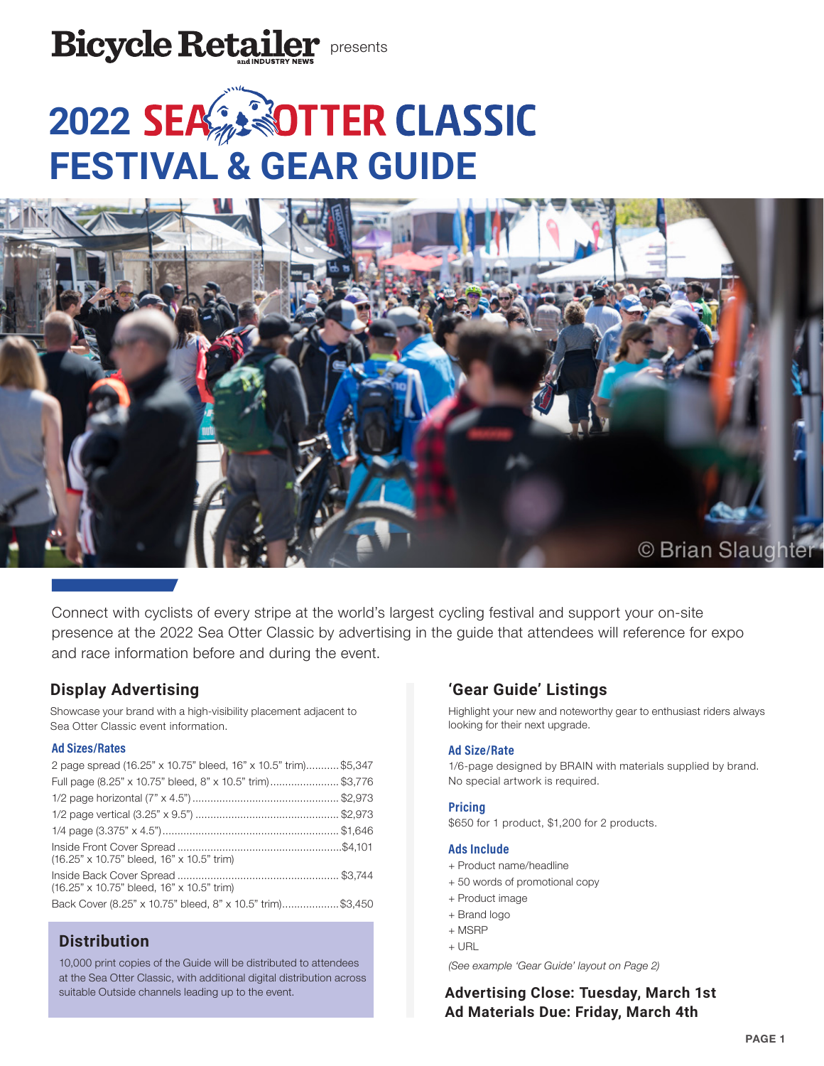

# **2022 SEA 30TTER CLASSIC FESTIVAL & GEAR GUIDE**



Connect with cyclists of every stripe at the world's largest cycling festival and support your on-site presence at the 2022 Sea Otter Classic by advertising in the guide that attendees will reference for expo and race information before and during the event.

# **Display Advertising**

Showcase your brand with a high-visibility placement adjacent to Sea Otter Classic event information.

# **Ad Sizes/Rates**

| 2 page spread (16.25" x 10.75" bleed, 16" x 10.5" trim)\$5,347 |  |
|----------------------------------------------------------------|--|
| Full page (8.25" x 10.75" bleed, 8" x 10.5" trim)\$3,776       |  |
|                                                                |  |
|                                                                |  |
|                                                                |  |
| (16.25" x 10.75" bleed, 16" x 10.5" trim)                      |  |
| (16.25" x 10.75" bleed, 16" x 10.5" trim)                      |  |
| Back Cover (8.25" x 10.75" bleed, 8" x 10.5" trim)\$3,450      |  |

# **Distribution**

10,000 print copies of the Guide will be distributed to attendees at the Sea Otter Classic, with additional digital distribution across suitable Outside channels leading up to the event.

# **'Gear Guide' Listings**

Highlight your new and noteworthy gear to enthusiast riders always looking for their next upgrade.

## **Ad Size/Rate**

1/6-page designed by BRAIN with materials supplied by brand. No special artwork is required.

## **Pricing**

\$650 for 1 product, \$1,200 for 2 products.

## **Ads Include**

- + Product name/headline
- + 50 words of promotional copy
- + Product image
- + Brand logo
- + MSRP
- + URL

*(See example 'Gear Guide' layout on Page 2)*

**Advertising Close: Tuesday, March 1st Ad Materials Due: Friday, March 4th**